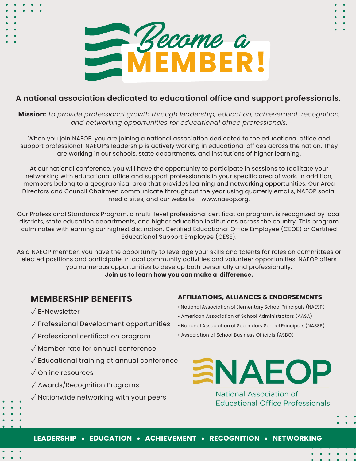

# **A national association dedicated to educational office and support professionals.**

**Mission:** *To provide professional growth through leadership, education, achievement, recognition, and networking opportunities for educational office professionals.*

When you join NAEOP, you are joining a national association dedicated to the educational office and support professional. NAEOP's leadership is actively working in educational offices across the nation. They are working in our schools, state departments, and institutions of higher learning.

At our national conference, you will have the opportunity to participate in sessions to facilitate your networking with educational office and support professionals in your specific area of work. In addition, members belong to a geographical area that provides learning and networking opportunities. Our Area Directors and Council Chairmen communicate throughout the year using quarterly emails, NAEOP social media sites, and our website - www.naeop.org.

Our Professional Standards Program, a multi-level professional certification program, is recognized by local districts, state education departments, and higher education institutions across the country. This program culminates with earning our highest distinction, Certified Educational Office Employee (CEOE) or Certified Educational Support Employee (CESE).

As a NAEOP member, you have the opportunity to leverage your skills and talents for roles on committees or elected positions and participate in local community activities and volunteer opportunities. NAEOP offers you numerous opportunities to develop both personally and professionally. **Join us to learn how you can make a difference.**

# **MEMBERSHIP BENEFITS**

- √ E-Newsletter
- √ Professional Development opportunities
- √ Professional certification program
- √ Member rate for annual conference
- √ Educational training at annual conference
- √ Online resources
- √ Awards/Recognition Programs
- √ Nationwide networking with your peers

#### **AFFILIATIONS, ALLIANCES & ENDORSEMENTS**

- National Association of Elementary School Principals (NAESP)
- American Association of School Administrators (AASA)
- National Association of Secondary School Principals (NASSP)
- Association of School Business Officials (ASBO)



**National Association of Educational Office Professionals**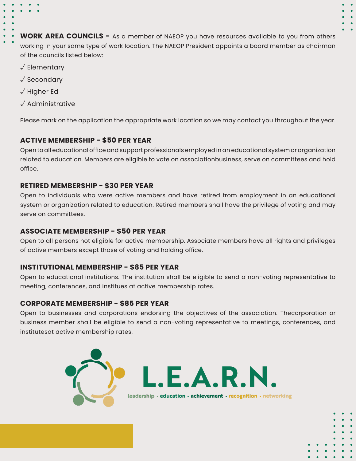**WORK AREA COUNCILS -** As a member of NAEOP you have resources available to you from others working in your same type of work location. The NAEOP President appoints a board member as chairman of the councils listed below:

- √ Elementary
- √ Secondary
- √ Higher Ed
- √ Administrative

Please mark on the application the appropriate work location so we may contact you throughout the year.

## **ACTIVE MEMBERSHIP - \$50 PER YEAR**

Open to all educational office and support professionals employed in an educational system or organization related to education. Members are eligible to vote on associationbusiness, serve on committees and hold office.

## **RETIRED MEMBERSHIP - \$30 PER YEAR**

Open to individuals who were active members and have retired from employment in an educational system or organization related to education. Retired members shall have the privilege of voting and may serve on committees.

#### **ASSOCIATE MEMBERSHIP - \$50 PER YEAR**

Open to all persons not eligible for active membership. Associate members have all rights and privileges of active members except those of voting and holding office.

#### **INSTITUTIONAL MEMBERSHIP - \$85 PER YEAR**

Open to educational institutions. The institution shall be eligible to send a non-voting representative to meeting, conferences, and institues at active membership rates.

#### **CORPORATE MEMBERSHIP - \$85 PER YEAR**

Open to businesses and corporations endorsing the objectives of the association. Thecorporation or business member shall be eligible to send a non-voting representative to meetings, conferences, and institutesat active membership rates.